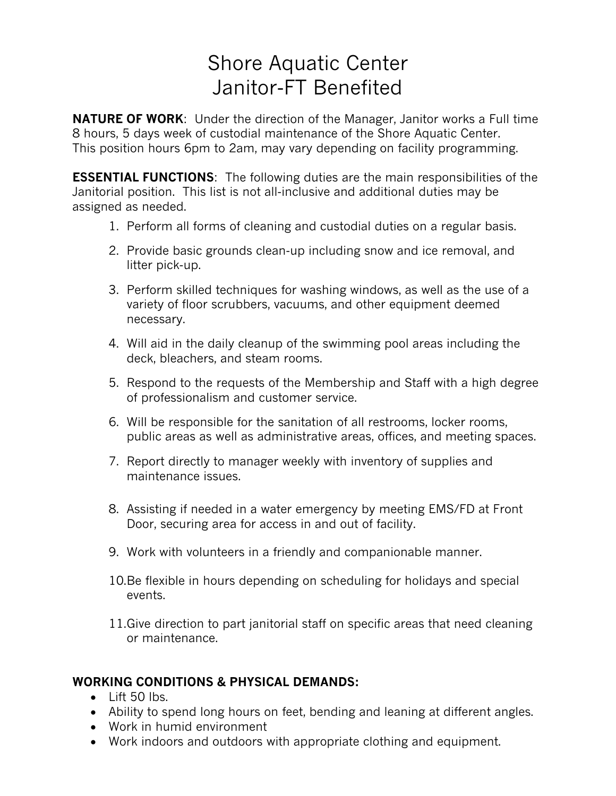# Shore Aquatic Center Janitor-FT Benefited

**NATURE OF WORK**: Under the direction of the Manager, Janitor works a Full time 8 hours, 5 days week of custodial maintenance of the Shore Aquatic Center. This position hours 6pm to 2am, may vary depending on facility programming.

**ESSENTIAL FUNCTIONS**: The following duties are the main responsibilities of the Janitorial position. This list is not all-inclusive and additional duties may be assigned as needed.

- 1. Perform all forms of cleaning and custodial duties on a regular basis.
- 2. Provide basic grounds clean-up including snow and ice removal, and litter pick-up.
- 3. Perform skilled techniques for washing windows, as well as the use of a variety of floor scrubbers, vacuums, and other equipment deemed necessary.
- 4. Will aid in the daily cleanup of the swimming pool areas including the deck, bleachers, and steam rooms.
- 5. Respond to the requests of the Membership and Staff with a high degree of professionalism and customer service.
- 6. Will be responsible for the sanitation of all restrooms, locker rooms, public areas as well as administrative areas, offices, and meeting spaces.
- 7. Report directly to manager weekly with inventory of supplies and maintenance issues.
- 8. Assisting if needed in a water emergency by meeting EMS/FD at Front Door, securing area for access in and out of facility.
- 9. Work with volunteers in a friendly and companionable manner.
- 10.Be flexible in hours depending on scheduling for holidays and special events.
- 11.Give direction to part janitorial staff on specific areas that need cleaning or maintenance.

## **WORKING CONDITIONS & PHYSICAL DEMANDS:**

- Lift 50 lbs.
- Ability to spend long hours on feet, bending and leaning at different angles.
- Work in humid environment
- Work indoors and outdoors with appropriate clothing and equipment.